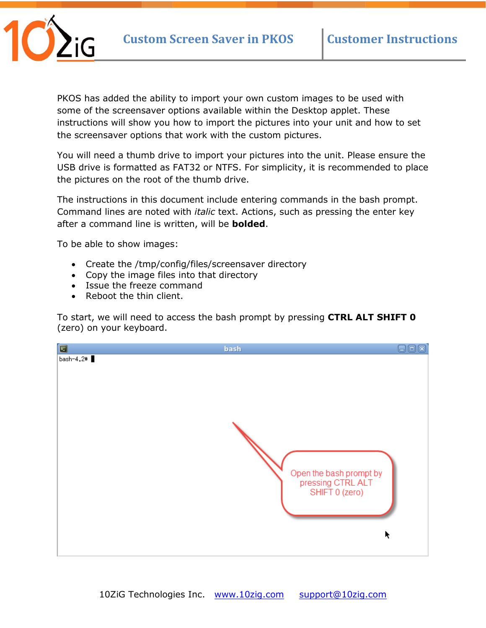

PKOS has added the ability to import your own custom images to be used with some of the screensaver options available within the Desktop applet. These instructions will show you how to import the pictures into your unit and how to set the screensaver options that work with the custom pictures.

You will need a thumb drive to import your pictures into the unit. Please ensure the USB drive is formatted as FAT32 or NTFS. For simplicity, it is recommended to place the pictures on the root of the thumb drive.

The instructions in this document include entering commands in the bash prompt. Command lines are noted with *italic* text. Actions, such as pressing the enter key after a command line is written, will be **bolded**.

To be able to show images:

- Create the /tmp/config/files/screensaver directory
- Copy the image files into that directory
- Issue the freeze command
- Reboot the thin client.

To start, we will need to access the bash prompt by pressing **CTRL ALT SHIFT 0** (zero) on your keyboard.

| Ø         | 同                                                                   |
|-----------|---------------------------------------------------------------------|
| bash      | lш                                                                  |
| bash-4.2# | Open the bash prompt by<br>pressing CTRL ALT<br>SHIFT 0 (zero)<br>ĸ |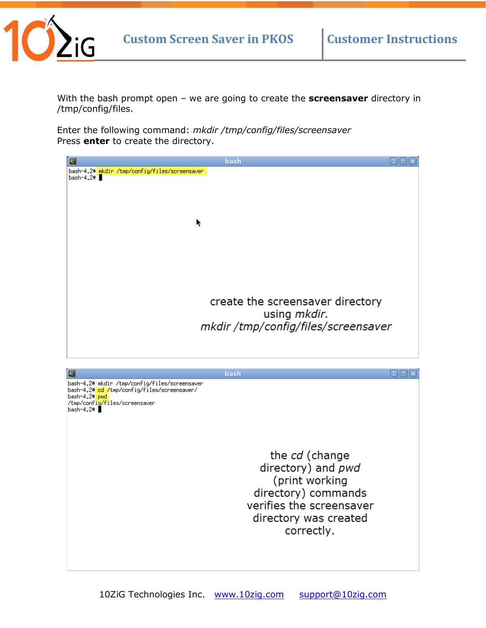

With the bash prompt open – we are going to create the **screensaver** directory in /tmp/config/files.

Enter the following command: *mkdir /tmp/config/files/screensaver* Press **enter** to create the directory.

| 회                                                                         | bash                                | $\Box$ o $\boxtimes$    |
|---------------------------------------------------------------------------|-------------------------------------|-------------------------|
| bash-4.2# mkdir /tmp/config/files/screensaver<br>bash-4.2# $\blacksquare$ |                                     |                         |
|                                                                           |                                     |                         |
|                                                                           |                                     |                         |
|                                                                           |                                     |                         |
|                                                                           |                                     |                         |
| k                                                                         |                                     |                         |
|                                                                           |                                     |                         |
|                                                                           |                                     |                         |
|                                                                           |                                     |                         |
|                                                                           |                                     |                         |
|                                                                           |                                     |                         |
|                                                                           | create the screensaver directory    |                         |
|                                                                           | using <i>mkdir.</i>                 |                         |
|                                                                           | mkdir /tmp/config/files/screensaver |                         |
|                                                                           |                                     |                         |
|                                                                           |                                     |                         |
|                                                                           |                                     |                         |
|                                                                           |                                     |                         |
| ≂                                                                         | bash                                |                         |
| bash-4.2# mkdir /tmp/config/files/screensaver                             |                                     | $\boxdot$ (a) $\boxdot$ |
| bash-4.2# cd /tmp/config/files/screensaver/<br>bash-4.2# <mark>pwd</mark> |                                     |                         |
| /tmp/config/files/screensaver<br>$bash-4.2$ #                             |                                     |                         |
|                                                                           |                                     |                         |
|                                                                           |                                     |                         |
|                                                                           |                                     |                         |
|                                                                           |                                     |                         |
|                                                                           | the cd (change                      |                         |
|                                                                           | directory) and pwd                  |                         |
|                                                                           | (print working                      |                         |
|                                                                           | directory) commands                 |                         |
|                                                                           | verifies the screensaver            |                         |
|                                                                           | directory was created               |                         |
|                                                                           | correctly.                          |                         |
|                                                                           |                                     |                         |
|                                                                           |                                     |                         |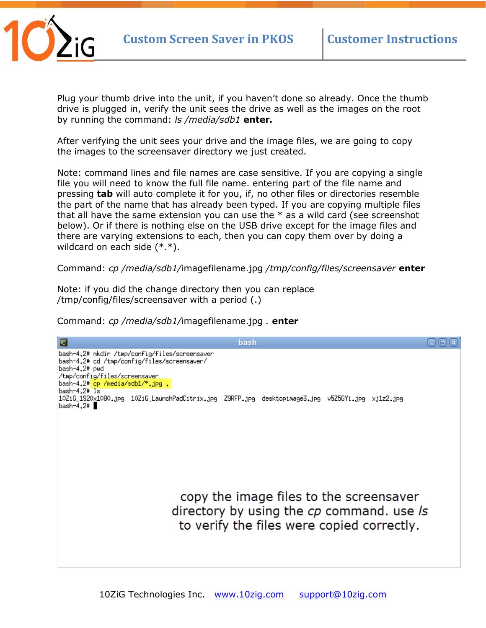

Plug your thumb drive into the unit, if you haven't done so already. Once the thumb drive is plugged in, verify the unit sees the drive as well as the images on the root by running the command: *ls /media/sdb1* **enter***.* 

After verifying the unit sees your drive and the image files, we are going to copy the images to the screensaver directory we just created.

Note: command lines and file names are case sensitive. If you are copying a single file you will need to know the full file name. entering part of the file name and pressing **tab** will auto complete it for you, if, no other files or directories resemble the part of the name that has already been typed. If you are copying multiple files that all have the same extension you can use the  $*$  as a wild card (see screenshot below). Or if there is nothing else on the USB drive except for the image files and there are varying extensions to each, then you can copy them over by doing a wildcard on each side (\*.\*).

Command: *cp /media/sdb1/*imagefilename.jpg */tmp/config/files/screensaver* **enter**

Note: if you did the change directory then you can replace /tmp/config/files/screensaver with a period (.)

Command: *cp /media/sdb1/*imagefilename.jpg *.* **enter**

日回风 bash bash-4.2# mkdir /tmp/config/files/screensaver bash-4.2# cd /tmp/config/files/screensaver/ bash-4.2# pwd tmp/config/files/screensaver/ bash-4.2# cp /media/sdb1/\*.jpg .  $bash-4.2$ #  $ls$ 10ZiG\_1920x1080.jpg 10ZiG\_LaunchPadCitrix.jpg Z9RFP.jpg desktopimage3.jpg v5Z5GYi.jpg xj1z2.jpg  $bash-4.2$ # copy the image files to the screensaver directory by using the cp command. use /s to verify the files were copied correctly.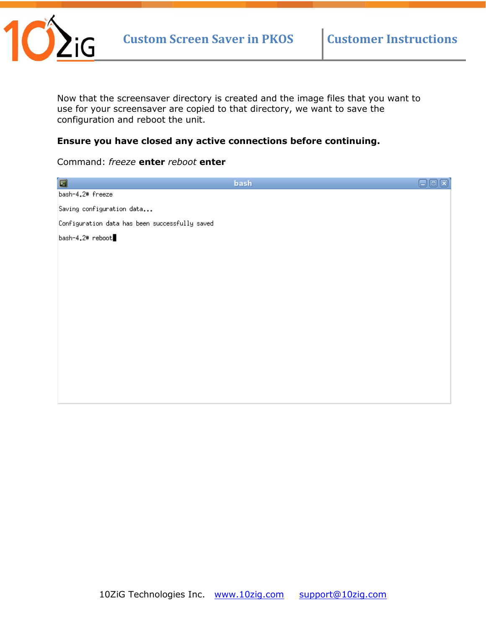

Now that the screensaver directory is created and the image files that you want to use for your screensaver are copied to that directory, we want to save the configuration and reboot the unit.

## **Ensure you have closed any active connections before continuing.**

## Command: *freeze* **enter** *reboot* **enter**

| Ξ                                              | bash | ⊏ |
|------------------------------------------------|------|---|
| bash-4.2# freeze                               |      |   |
| Saving configuration data                      |      |   |
| Configuration data has been successfully saved |      |   |
| bash-4.2# reboot                               |      |   |
|                                                |      |   |
|                                                |      |   |
|                                                |      |   |
|                                                |      |   |
|                                                |      |   |
|                                                |      |   |
|                                                |      |   |
|                                                |      |   |
|                                                |      |   |
|                                                |      |   |
|                                                |      |   |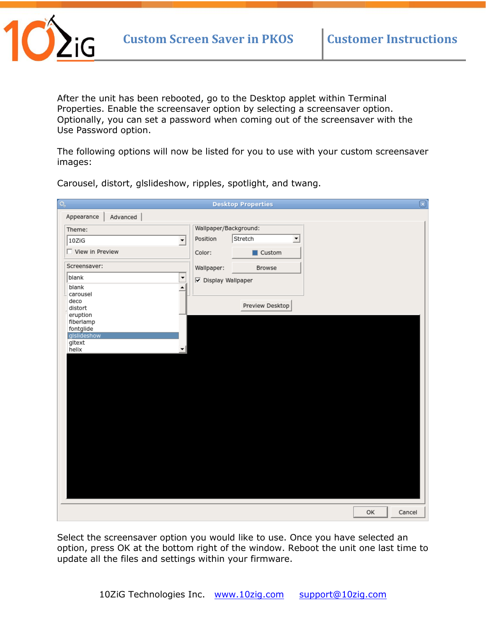

After the unit has been rebooted, go to the Desktop applet within Terminal Properties. Enable the screensaver option by selecting a screensaver option. Optionally, you can set a password when coming out of the screensaver with the Use Password option.

The following options will now be listed for you to use with your custom screensaver images:

| $\overline{\mathsf{o}_s}$                                              |                       | <b>Desktop Properties</b> |                          | $\overline{\circ}$ |
|------------------------------------------------------------------------|-----------------------|---------------------------|--------------------------|--------------------|
| Appearance<br>Advanced                                                 |                       |                           |                          |                    |
| Theme:                                                                 | Wallpaper/Background: |                           |                          |                    |
| $\blacktriangledown$<br>10ZiG                                          | Position              | Stretch                   | $\overline{\phantom{0}}$ |                    |
| View in Preview                                                        | Color:                | Custom                    |                          |                    |
| Screensaver:                                                           | Wallpaper:            | Browse                    |                          |                    |
| blank<br>$\blacktriangledown$<br>$\blacktriangle$<br>blank<br>carousel | □ Display Wallpaper   |                           |                          |                    |
| deco<br>distort                                                        |                       | Preview Desktop           |                          |                    |
| eruption<br>fiberlamp<br>fontglide<br>glslideshow<br>gitext<br>helix   |                       |                           |                          |                    |
|                                                                        |                       |                           |                          | OK<br>Cancel       |

Carousel, distort, glslideshow, ripples, spotlight, and twang.

Select the screensaver option you would like to use. Once you have selected an option, press OK at the bottom right of the window. Reboot the unit one last time to update all the files and settings within your firmware.